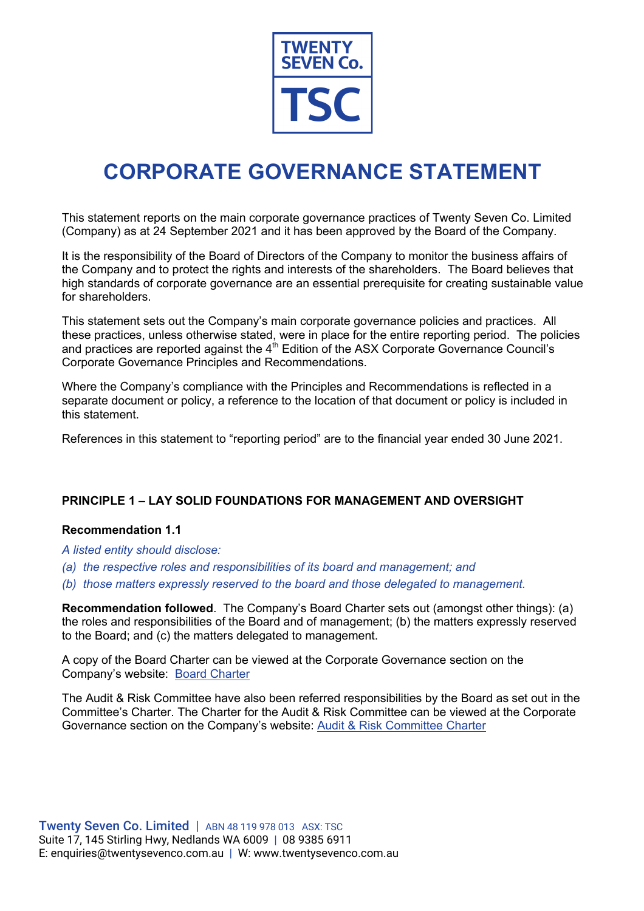

# **CORPORATE GOVERNANCE STATEMENT**

This statement reports on the main corporate governance practices of Twenty Seven Co. Limited (Company) as at 24 September 2021 and it has been approved by the Board of the Company.

It is the responsibility of the Board of Directors of the Company to monitor the business affairs of the Company and to protect the rights and interests of the shareholders. The Board believes that high standards of corporate governance are an essential prerequisite for creating sustainable value for shareholders.

This statement sets out the Company's main corporate governance policies and practices. All these practices, unless otherwise stated, were in place for the entire reporting period. The policies and practices are reported against the  $4<sup>th</sup>$  Edition of the ASX Corporate Governance Council's Corporate Governance Principles and Recommendations.

Where the Company's compliance with the Principles and Recommendations is reflected in a separate document or policy, a reference to the location of that document or policy is included in this statement.

References in this statement to "reporting period" are to the financial year ended 30 June 2021.

# **PRINCIPLE 1 – LAY SOLID FOUNDATIONS FOR MANAGEMENT AND OVERSIGHT**

# **Recommendation 1.1**

*A listed entity should disclose:*

- *(a) the respective roles and responsibilities of its board and management; and*
- *(b) those matters expressly reserved to the board and those delegated to management.*

**Recommendation followed**. The Company's Board Charter sets out (amongst other things): (a) the roles and responsibilities of the Board and of management; (b) the matters expressly reserved to the Board; and (c) the matters delegated to management.

A copy of the Board Charter can be viewed at the Corporate Governance section on the Company's website: Board Charter

The Audit & Risk Committee have also been referred responsibilities by the Board as set out in the Committee's Charter. The Charter for the Audit & Risk Committee can be viewed at the Corporate Governance section on the Company's website: Audit & Risk Committee Charter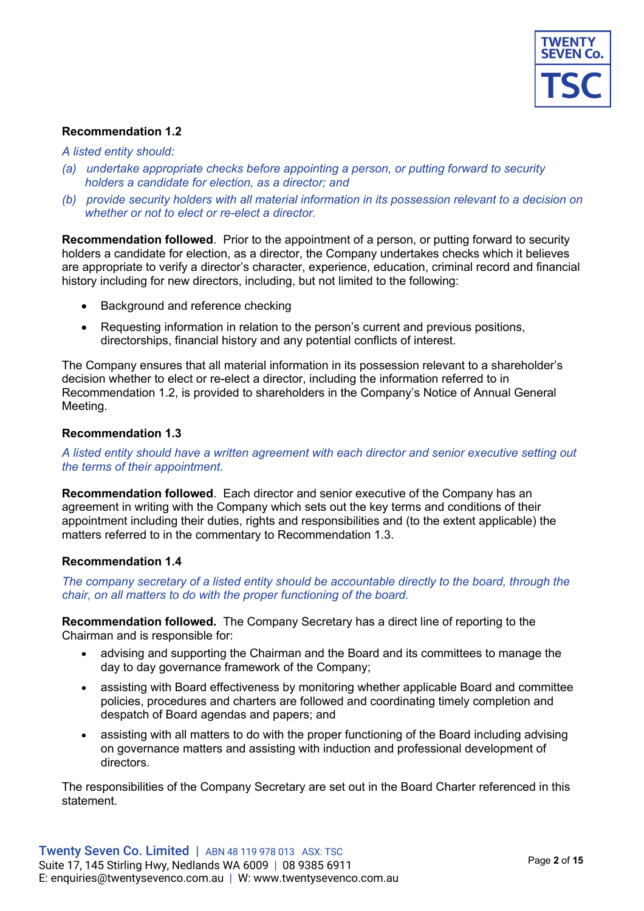

#### *A listed entity should:*

- *(a) undertake appropriate checks before appointing a person, or putting forward to security holders a candidate for election, as a director; and*
- *(b) provide security holders with all material information in its possession relevant to a decision on whether or not to elect or re-elect a director.*

**Recommendation followed**. Prior to the appointment of a person, or putting forward to security holders a candidate for election, as a director, the Company undertakes checks which it believes are appropriate to verify a director's character, experience, education, criminal record and financial history including for new directors, including, but not limited to the following:

- Background and reference checking
- Requesting information in relation to the person's current and previous positions, directorships, financial history and any potential conflicts of interest.

The Company ensures that all material information in its possession relevant to a shareholder's decision whether to elect or re-elect a director, including the information referred to in Recommendation 1.2, is provided to shareholders in the Company's Notice of Annual General Meeting.

## **Recommendation 1.3**

## *A listed entity should have a written agreement with each director and senior executive setting out the terms of their appointment.*

**Recommendation followed**. Each director and senior executive of the Company has an agreement in writing with the Company which sets out the key terms and conditions of their appointment including their duties, rights and responsibilities and (to the extent applicable) the matters referred to in the commentary to Recommendation 1.3.

#### **Recommendation 1.4**

## *The company secretary of a listed entity should be accountable directly to the board, through the chair, on all matters to do with the proper functioning of the board.*

**Recommendation followed.** The Company Secretary has a direct line of reporting to the Chairman and is responsible for:

- advising and supporting the Chairman and the Board and its committees to manage the day to day governance framework of the Company;
- assisting with Board effectiveness by monitoring whether applicable Board and committee policies, procedures and charters are followed and coordinating timely completion and despatch of Board agendas and papers; and
- assisting with all matters to do with the proper functioning of the Board including advising on governance matters and assisting with induction and professional development of directors.

The responsibilities of the Company Secretary are set out in the Board Charter referenced in this statement.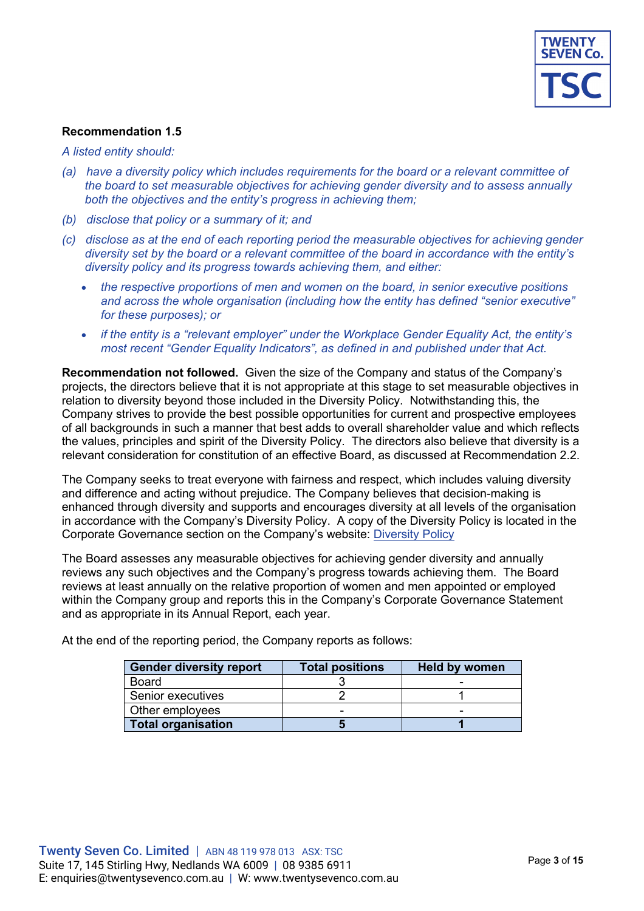

*A listed entity should:*

- *(a) have a diversity policy which includes requirements for the board or a relevant committee of the board to set measurable objectives for achieving gender diversity and to assess annually both the objectives and the entity's progress in achieving them;*
- *(b) disclose that policy or a summary of it; and*
- *(c) disclose as at the end of each reporting period the measurable objectives for achieving gender diversity set by the board or a relevant committee of the board in accordance with the entity's diversity policy and its progress towards achieving them, and either:*
	- *the respective proportions of men and women on the board, in senior executive positions and across the whole organisation (including how the entity has defined "senior executive" for these purposes); or*
	- *if the entity is a "relevant employer" under the Workplace Gender Equality Act, the entity's most recent "Gender Equality Indicators", as defined in and published under that Act.*

**Recommendation not followed.** Given the size of the Company and status of the Company's projects, the directors believe that it is not appropriate at this stage to set measurable objectives in relation to diversity beyond those included in the Diversity Policy. Notwithstanding this, the Company strives to provide the best possible opportunities for current and prospective employees of all backgrounds in such a manner that best adds to overall shareholder value and which reflects the values, principles and spirit of the Diversity Policy. The directors also believe that diversity is a relevant consideration for constitution of an effective Board, as discussed at Recommendation 2.2.

The Company seeks to treat everyone with fairness and respect, which includes valuing diversity and difference and acting without prejudice. The Company believes that decision-making is enhanced through diversity and supports and encourages diversity at all levels of the organisation in accordance with the Company's Diversity Policy. A copy of the Diversity Policy is located in the Corporate Governance section on the Company's website: Diversity Policy

The Board assesses any measurable objectives for achieving gender diversity and annually reviews any such objectives and the Company's progress towards achieving them. The Board reviews at least annually on the relative proportion of women and men appointed or employed within the Company group and reports this in the Company's Corporate Governance Statement and as appropriate in its Annual Report, each year.

| <b>Gender diversity report</b> | <b>Total positions</b> | <b>Held by women</b> |
|--------------------------------|------------------------|----------------------|
| Board                          |                        |                      |
| Senior executives              |                        |                      |
| Other employees                | -                      |                      |
| <b>Total organisation</b>      |                        |                      |

At the end of the reporting period, the Company reports as follows: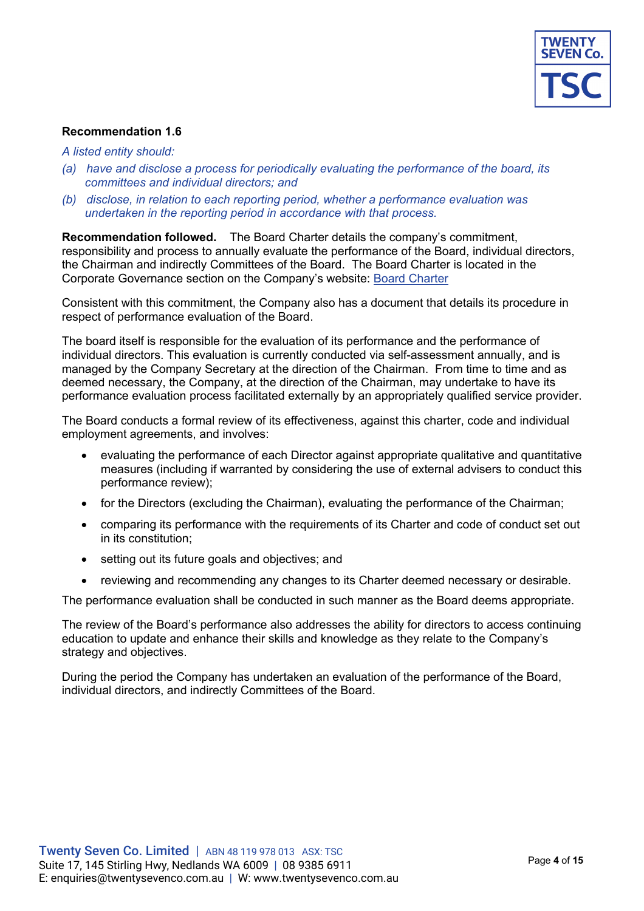

#### *A listed entity should:*

- *(a) have and disclose a process for periodically evaluating the performance of the board, its committees and individual directors; and*
- *(b) disclose, in relation to each reporting period, whether a performance evaluation was undertaken in the reporting period in accordance with that process.*

**Recommendation followed.** The Board Charter details the company's commitment, responsibility and process to annually evaluate the performance of the Board, individual directors, the Chairman and indirectly Committees of the Board. The Board Charter is located in the Corporate Governance section on the Company's website: Board Charter

Consistent with this commitment, the Company also has a document that details its procedure in respect of performance evaluation of the Board.

The board itself is responsible for the evaluation of its performance and the performance of individual directors. This evaluation is currently conducted via self-assessment annually, and is managed by the Company Secretary at the direction of the Chairman. From time to time and as deemed necessary, the Company, at the direction of the Chairman, may undertake to have its performance evaluation process facilitated externally by an appropriately qualified service provider.

The Board conducts a formal review of its effectiveness, against this charter, code and individual employment agreements, and involves:

- evaluating the performance of each Director against appropriate qualitative and quantitative measures (including if warranted by considering the use of external advisers to conduct this performance review);
- for the Directors (excluding the Chairman), evaluating the performance of the Chairman;
- comparing its performance with the requirements of its Charter and code of conduct set out in its constitution;
- setting out its future goals and objectives; and
- reviewing and recommending any changes to its Charter deemed necessary or desirable.

The performance evaluation shall be conducted in such manner as the Board deems appropriate.

The review of the Board's performance also addresses the ability for directors to access continuing education to update and enhance their skills and knowledge as they relate to the Company's strategy and objectives.

During the period the Company has undertaken an evaluation of the performance of the Board, individual directors, and indirectly Committees of the Board.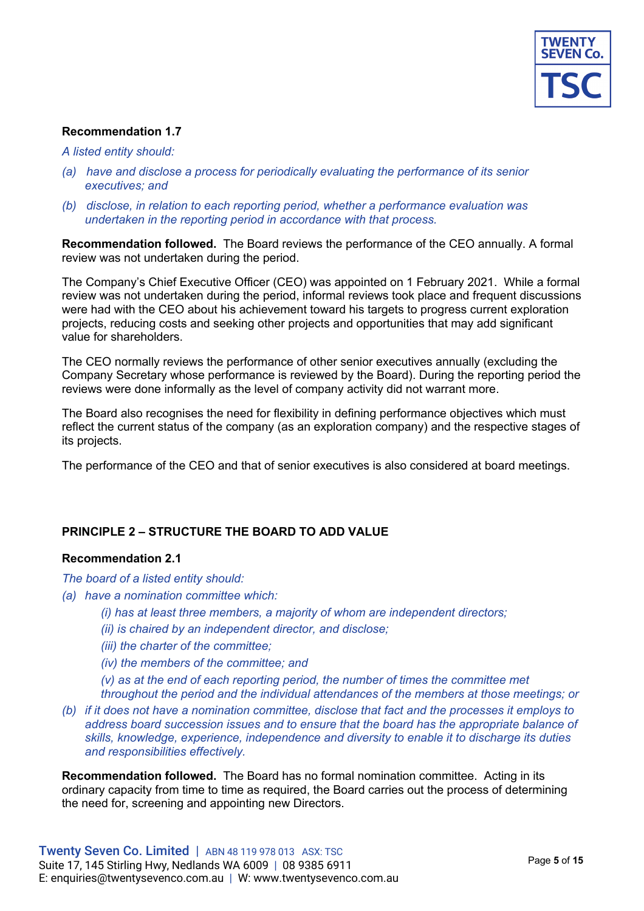

#### *A listed entity should:*

- *(a) have and disclose a process for periodically evaluating the performance of its senior executives; and*
- *(b) disclose, in relation to each reporting period, whether a performance evaluation was undertaken in the reporting period in accordance with that process.*

**Recommendation followed.** The Board reviews the performance of the CEO annually. A formal review was not undertaken during the period.

The Company's Chief Executive Officer (CEO) was appointed on 1 February 2021. While a formal review was not undertaken during the period, informal reviews took place and frequent discussions were had with the CEO about his achievement toward his targets to progress current exploration projects, reducing costs and seeking other projects and opportunities that may add significant value for shareholders.

The CEO normally reviews the performance of other senior executives annually (excluding the Company Secretary whose performance is reviewed by the Board). During the reporting period the reviews were done informally as the level of company activity did not warrant more.

The Board also recognises the need for flexibility in defining performance objectives which must reflect the current status of the company (as an exploration company) and the respective stages of its projects.

The performance of the CEO and that of senior executives is also considered at board meetings.

# **PRINCIPLE 2 – STRUCTURE THE BOARD TO ADD VALUE**

#### **Recommendation 2.1**

*The board of a listed entity should:*

- *(a) have a nomination committee which:*
	- *(i) has at least three members, a majority of whom are independent directors;*
	- *(ii) is chaired by an independent director, and disclose;*
	- *(iii) the charter of the committee;*
	- *(iv) the members of the committee; and*
	- *(v) as at the end of each reporting period, the number of times the committee met throughout the period and the individual attendances of the members at those meetings; or*
- *(b) if it does not have a nomination committee, disclose that fact and the processes it employs to address board succession issues and to ensure that the board has the appropriate balance of skills, knowledge, experience, independence and diversity to enable it to discharge its duties and responsibilities effectively.*

**Recommendation followed.** The Board has no formal nomination committee. Acting in its ordinary capacity from time to time as required, the Board carries out the process of determining the need for, screening and appointing new Directors.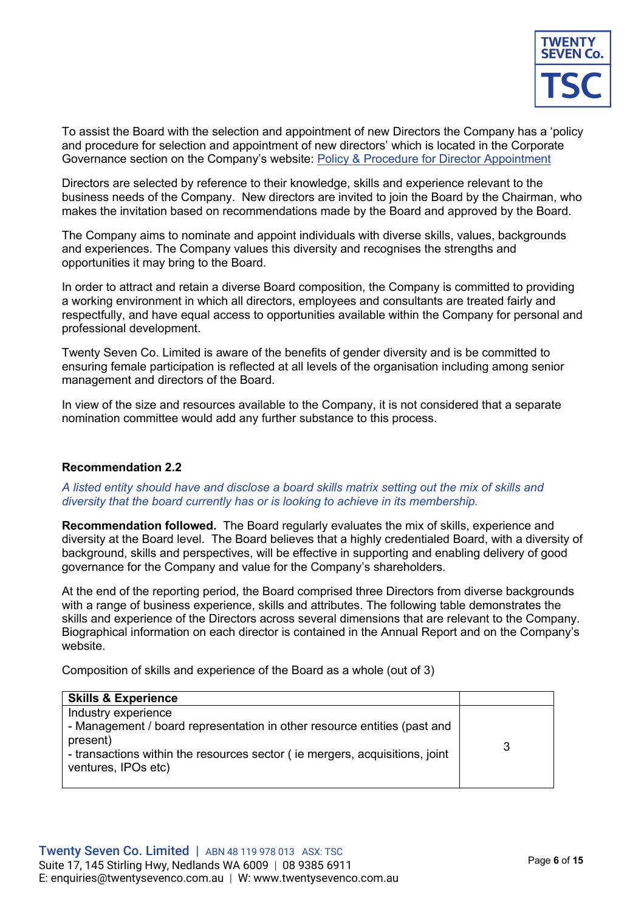

To assist the Board with the selection and appointment of new Directors the Company has a 'policy and procedure for selection and appointment of new directors' which is located in the Corporate Governance section on the Company's website: Policy & Procedure for Director Appointment

Directors are selected by reference to their knowledge, skills and experience relevant to the business needs of the Company. New directors are invited to join the Board by the Chairman, who makes the invitation based on recommendations made by the Board and approved by the Board.

The Company aims to nominate and appoint individuals with diverse skills, values, backgrounds and experiences. The Company values this diversity and recognises the strengths and opportunities it may bring to the Board.

In order to attract and retain a diverse Board composition, the Company is committed to providing a working environment in which all directors, employees and consultants are treated fairly and respectfully, and have equal access to opportunities available within the Company for personal and professional development.

Twenty Seven Co. Limited is aware of the benefits of gender diversity and is be committed to ensuring female participation is reflected at all levels of the organisation including among senior management and directors of the Board.

In view of the size and resources available to the Company, it is not considered that a separate nomination committee would add any further substance to this process.

# **Recommendation 2.2**

## *A listed entity should have and disclose a board skills matrix setting out the mix of skills and diversity that the board currently has or is looking to achieve in its membership.*

**Recommendation followed.** The Board regularly evaluates the mix of skills, experience and diversity at the Board level. The Board believes that a highly credentialed Board, with a diversity of background, skills and perspectives, will be effective in supporting and enabling delivery of good governance for the Company and value for the Company's shareholders.

At the end of the reporting period, the Board comprised three Directors from diverse backgrounds with a range of business experience, skills and attributes. The following table demonstrates the skills and experience of the Directors across several dimensions that are relevant to the Company. Biographical information on each director is contained in the Annual Report and on the Company's website.

Composition of skills and experience of the Board as a whole (out of 3)

| <b>Skills &amp; Experience</b>                                                                                                                                                                                    |   |
|-------------------------------------------------------------------------------------------------------------------------------------------------------------------------------------------------------------------|---|
| Industry experience<br>- Management / board representation in other resource entities (past and<br>present)<br>- transactions within the resources sector (ie mergers, acquisitions, joint<br>ventures, IPOs etc) | 3 |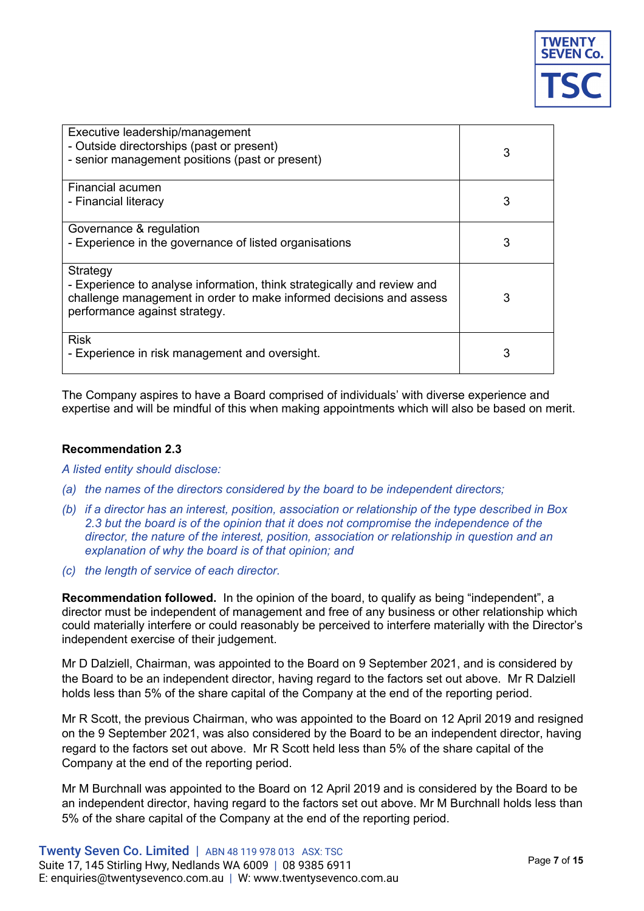

| Executive leadership/management<br>- Outside directorships (past or present)<br>- senior management positions (past or present)                                                             | 3 |
|---------------------------------------------------------------------------------------------------------------------------------------------------------------------------------------------|---|
| Financial acumen                                                                                                                                                                            |   |
| - Financial literacy                                                                                                                                                                        | 3 |
| Governance & regulation                                                                                                                                                                     |   |
| - Experience in the governance of listed organisations                                                                                                                                      | 3 |
| Strategy<br>- Experience to analyse information, think strategically and review and<br>challenge management in order to make informed decisions and assess<br>performance against strategy. | 3 |
| <b>Risk</b><br>- Experience in risk management and oversight.                                                                                                                               | 3 |

The Company aspires to have a Board comprised of individuals' with diverse experience and expertise and will be mindful of this when making appointments which will also be based on merit.

## **Recommendation 2.3**

*A listed entity should disclose:*

- *(a) the names of the directors considered by the board to be independent directors;*
- *(b) if a director has an interest, position, association or relationship of the type described in Box 2.3 but the board is of the opinion that it does not compromise the independence of the director, the nature of the interest, position, association or relationship in question and an explanation of why the board is of that opinion; and*
- *(c) the length of service of each director.*

**Recommendation followed.** In the opinion of the board, to qualify as being "independent", a director must be independent of management and free of any business or other relationship which could materially interfere or could reasonably be perceived to interfere materially with the Director's independent exercise of their judgement.

Mr D Dalziell, Chairman, was appointed to the Board on 9 September 2021, and is considered by the Board to be an independent director, having regard to the factors set out above. Mr R Dalziell holds less than 5% of the share capital of the Company at the end of the reporting period.

Mr R Scott, the previous Chairman, who was appointed to the Board on 12 April 2019 and resigned on the 9 September 2021, was also considered by the Board to be an independent director, having regard to the factors set out above. Mr R Scott held less than 5% of the share capital of the Company at the end of the reporting period.

Mr M Burchnall was appointed to the Board on 12 April 2019 and is considered by the Board to be an independent director, having regard to the factors set out above. Mr M Burchnall holds less than 5% of the share capital of the Company at the end of the reporting period.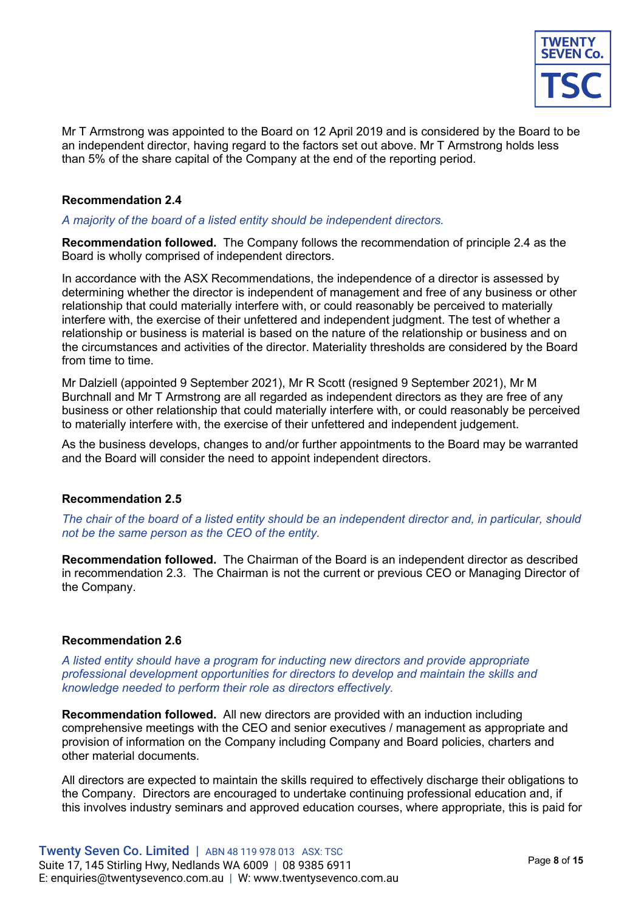

Mr T Armstrong was appointed to the Board on 12 April 2019 and is considered by the Board to be an independent director, having regard to the factors set out above. Mr T Armstrong holds less than 5% of the share capital of the Company at the end of the reporting period.

## **Recommendation 2.4**

#### *A majority of the board of a listed entity should be independent directors.*

**Recommendation followed.** The Company follows the recommendation of principle 2.4 as the Board is wholly comprised of independent directors.

In accordance with the ASX Recommendations, the independence of a director is assessed by determining whether the director is independent of management and free of any business or other relationship that could materially interfere with, or could reasonably be perceived to materially interfere with, the exercise of their unfettered and independent judgment. The test of whether a relationship or business is material is based on the nature of the relationship or business and on the circumstances and activities of the director. Materiality thresholds are considered by the Board from time to time.

Mr Dalziell (appointed 9 September 2021), Mr R Scott (resigned 9 September 2021), Mr M Burchnall and Mr T Armstrong are all regarded as independent directors as they are free of any business or other relationship that could materially interfere with, or could reasonably be perceived to materially interfere with, the exercise of their unfettered and independent judgement.

As the business develops, changes to and/or further appointments to the Board may be warranted and the Board will consider the need to appoint independent directors.

#### **Recommendation 2.5**

*The chair of the board of a listed entity should be an independent director and, in particular, should not be the same person as the CEO of the entity.* 

**Recommendation followed.** The Chairman of the Board is an independent director as described in recommendation 2.3. The Chairman is not the current or previous CEO or Managing Director of the Company.

#### **Recommendation 2.6**

*A listed entity should have a program for inducting new directors and provide appropriate professional development opportunities for directors to develop and maintain the skills and knowledge needed to perform their role as directors effectively.* 

**Recommendation followed.** All new directors are provided with an induction including comprehensive meetings with the CEO and senior executives / management as appropriate and provision of information on the Company including Company and Board policies, charters and other material documents.

All directors are expected to maintain the skills required to effectively discharge their obligations to the Company. Directors are encouraged to undertake continuing professional education and, if this involves industry seminars and approved education courses, where appropriate, this is paid for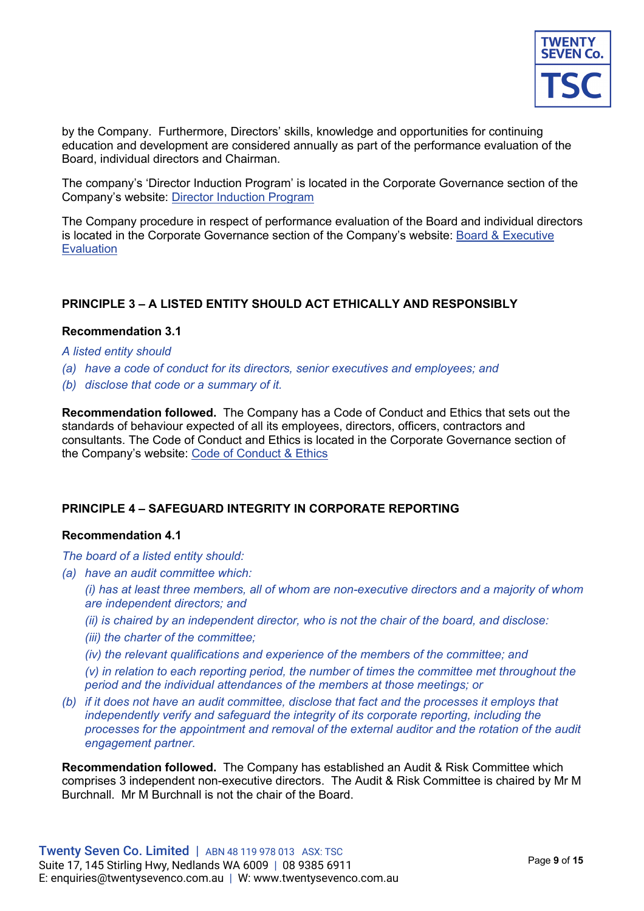

by the Company. Furthermore, Directors' skills, knowledge and opportunities for continuing education and development are considered annually as part of the performance evaluation of the Board, individual directors and Chairman.

The company's 'Director Induction Program' is located in the Corporate Governance section of the Company's website: Director Induction Program

The Company procedure in respect of performance evaluation of the Board and individual directors is located in the Corporate Governance section of the Company's website: Board & Executive **Evaluation** 

# **PRINCIPLE 3 – A LISTED ENTITY SHOULD ACT ETHICALLY AND RESPONSIBLY**

## **Recommendation 3.1**

#### *A listed entity should*

- *(a) have a code of conduct for its directors, senior executives and employees; and*
- *(b) disclose that code or a summary of it.*

**Recommendation followed.** The Company has a Code of Conduct and Ethics that sets out the standards of behaviour expected of all its employees, directors, officers, contractors and consultants. The Code of Conduct and Ethics is located in the Corporate Governance section of the Company's website: Code of Conduct & Ethics

#### **PRINCIPLE 4 – SAFEGUARD INTEGRITY IN CORPORATE REPORTING**

#### **Recommendation 4.1**

*The board of a listed entity should:*

- *(a) have an audit committee which:*
	- *(i) has at least three members, all of whom are non-executive directors and a majority of whom are independent directors; and*
	- *(ii) is chaired by an independent director, who is not the chair of the board, and disclose:*
	- *(iii) the charter of the committee;*
	- *(iv) the relevant qualifications and experience of the members of the committee; and*

*(v) in relation to each reporting period, the number of times the committee met throughout the period and the individual attendances of the members at those meetings; or*

*(b) if it does not have an audit committee, disclose that fact and the processes it employs that independently verify and safeguard the integrity of its corporate reporting, including the processes for the appointment and removal of the external auditor and the rotation of the audit engagement partner.* 

**Recommendation followed.** The Company has established an Audit & Risk Committee which comprises 3 independent non-executive directors. The Audit & Risk Committee is chaired by Mr M Burchnall. Mr M Burchnall is not the chair of the Board.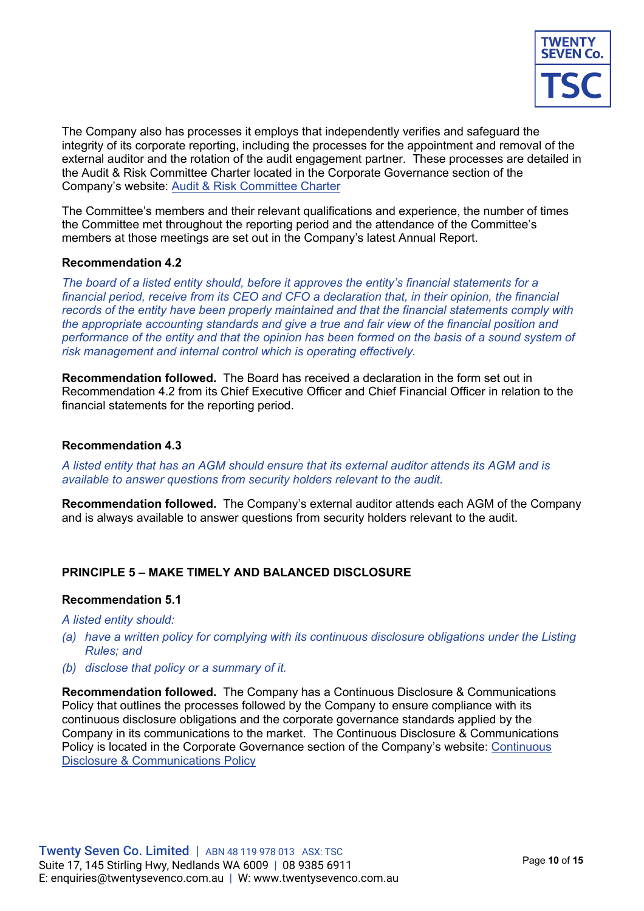

The Company also has processes it employs that independently verifies and safeguard the integrity of its corporate reporting, including the processes for the appointment and removal of the external auditor and the rotation of the audit engagement partner. These processes are detailed in the Audit & Risk Committee Charter located in the Corporate Governance section of the Company's website: Audit & Risk Committee Charter

The Committee's members and their relevant qualifications and experience, the number of times the Committee met throughout the reporting period and the attendance of the Committee's members at those meetings are set out in the Company's latest Annual Report.

## **Recommendation 4.2**

*The board of a listed entity should, before it approves the entity's financial statements for a financial period, receive from its CEO and CFO a declaration that, in their opinion, the financial records of the entity have been properly maintained and that the financial statements comply with the appropriate accounting standards and give a true and fair view of the financial position and performance of the entity and that the opinion has been formed on the basis of a sound system of risk management and internal control which is operating effectively.*

**Recommendation followed.** The Board has received a declaration in the form set out in Recommendation 4.2 from its Chief Executive Officer and Chief Financial Officer in relation to the financial statements for the reporting period.

## **Recommendation 4.3**

*A listed entity that has an AGM should ensure that its external auditor attends its AGM and is available to answer questions from security holders relevant to the audit.*

**Recommendation followed.** The Company's external auditor attends each AGM of the Company and is always available to answer questions from security holders relevant to the audit.

# **PRINCIPLE 5 – MAKE TIMELY AND BALANCED DISCLOSURE**

#### **Recommendation 5.1**

*A listed entity should:* 

- *(a) have a written policy for complying with its continuous disclosure obligations under the Listing Rules; and*
- *(b) disclose that policy or a summary of it.*

**Recommendation followed.** The Company has a Continuous Disclosure & Communications Policy that outlines the processes followed by the Company to ensure compliance with its continuous disclosure obligations and the corporate governance standards applied by the Company in its communications to the market. The Continuous Disclosure & Communications Policy is located in the Corporate Governance section of the Company's website: Continuous Disclosure & Communications Policy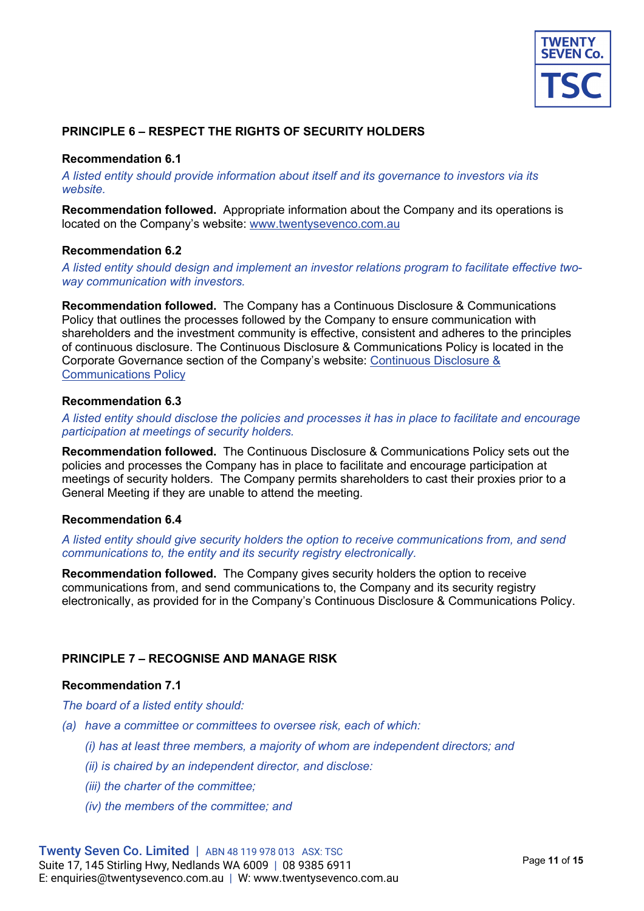

# **PRINCIPLE 6 – RESPECT THE RIGHTS OF SECURITY HOLDERS**

## **Recommendation 6.1**

*A listed entity should provide information about itself and its governance to investors via its website.* 

**Recommendation followed.** Appropriate information about the Company and its operations is located on the Company's website: www.twentysevenco.com.au

#### **Recommendation 6.2**

*A listed entity should design and implement an investor relations program to facilitate effective twoway communication with investors.*

**Recommendation followed.** The Company has a Continuous Disclosure & Communications Policy that outlines the processes followed by the Company to ensure communication with shareholders and the investment community is effective, consistent and adheres to the principles of continuous disclosure. The Continuous Disclosure & Communications Policy is located in the Corporate Governance section of the Company's website: Continuous Disclosure & Communications Policy

#### **Recommendation 6.3**

*A listed entity should disclose the policies and processes it has in place to facilitate and encourage participation at meetings of security holders.* 

**Recommendation followed.** The Continuous Disclosure & Communications Policy sets out the policies and processes the Company has in place to facilitate and encourage participation at meetings of security holders. The Company permits shareholders to cast their proxies prior to a General Meeting if they are unable to attend the meeting.

#### **Recommendation 6.4**

*A listed entity should give security holders the option to receive communications from, and send communications to, the entity and its security registry electronically.* 

**Recommendation followed.** The Company gives security holders the option to receive communications from, and send communications to, the Company and its security registry electronically, as provided for in the Company's Continuous Disclosure & Communications Policy.

# **PRINCIPLE 7 – RECOGNISE AND MANAGE RISK**

#### **Recommendation 7.1**

*The board of a listed entity should:* 

- *(a) have a committee or committees to oversee risk, each of which:* 
	- *(i) has at least three members, a majority of whom are independent directors; and*
	- *(ii) is chaired by an independent director, and disclose:*
	- *(iii) the charter of the committee;*
	- *(iv) the members of the committee; and*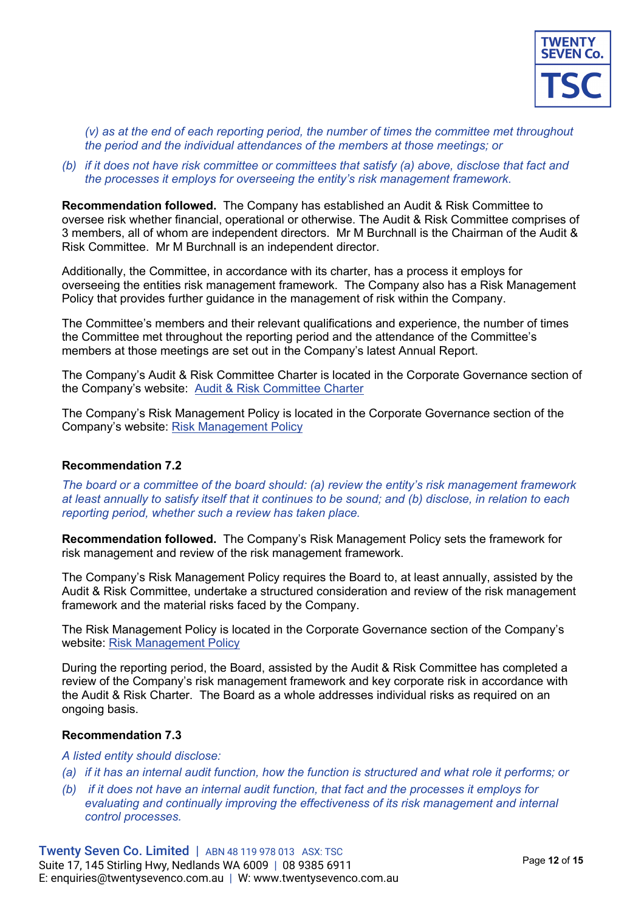

*(v) as at the end of each reporting period, the number of times the committee met throughout the period and the individual attendances of the members at those meetings; or* 

## *(b) if it does not have risk committee or committees that satisfy (a) above, disclose that fact and the processes it employs for overseeing the entity's risk management framework.*

**Recommendation followed.** The Company has established an Audit & Risk Committee to oversee risk whether financial, operational or otherwise. The Audit & Risk Committee comprises of 3 members, all of whom are independent directors. Mr M Burchnall is the Chairman of the Audit & Risk Committee. Mr M Burchnall is an independent director.

Additionally, the Committee, in accordance with its charter, has a process it employs for overseeing the entities risk management framework. The Company also has a Risk Management Policy that provides further guidance in the management of risk within the Company.

The Committee's members and their relevant qualifications and experience, the number of times the Committee met throughout the reporting period and the attendance of the Committee's members at those meetings are set out in the Company's latest Annual Report.

The Company's Audit & Risk Committee Charter is located in the Corporate Governance section of the Company's website: Audit & Risk Committee Charter

The Company's Risk Management Policy is located in the Corporate Governance section of the Company's website: Risk Management Policy

# **Recommendation 7.2**

*The board or a committee of the board should: (a) review the entity's risk management framework at least annually to satisfy itself that it continues to be sound; and (b) disclose, in relation to each reporting period, whether such a review has taken place.* 

**Recommendation followed.** The Company's Risk Management Policy sets the framework for risk management and review of the risk management framework.

The Company's Risk Management Policy requires the Board to, at least annually, assisted by the Audit & Risk Committee, undertake a structured consideration and review of the risk management framework and the material risks faced by the Company.

The Risk Management Policy is located in the Corporate Governance section of the Company's website: Risk Management Policy

During the reporting period, the Board, assisted by the Audit & Risk Committee has completed a review of the Company's risk management framework and key corporate risk in accordance with the Audit & Risk Charter. The Board as a whole addresses individual risks as required on an ongoing basis.

#### **Recommendation 7.3**

#### *A listed entity should disclose:*

- *(a) if it has an internal audit function, how the function is structured and what role it performs; or*
- *(b) if it does not have an internal audit function, that fact and the processes it employs for evaluating and continually improving the effectiveness of its risk management and internal control processes.*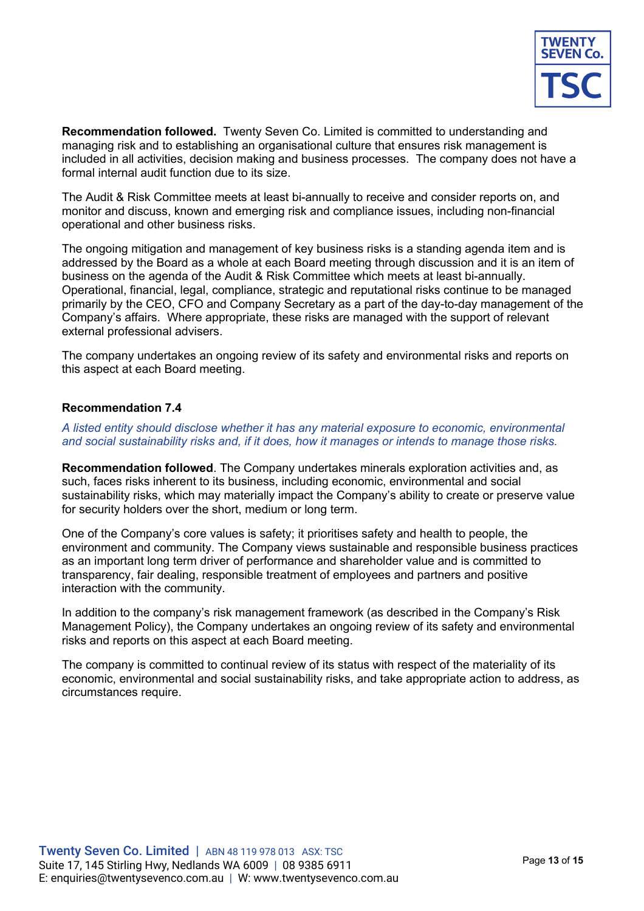

**Recommendation followed.** Twenty Seven Co. Limited is committed to understanding and managing risk and to establishing an organisational culture that ensures risk management is included in all activities, decision making and business processes. The company does not have a formal internal audit function due to its size.

The Audit & Risk Committee meets at least bi-annually to receive and consider reports on, and monitor and discuss, known and emerging risk and compliance issues, including non-financial operational and other business risks.

The ongoing mitigation and management of key business risks is a standing agenda item and is addressed by the Board as a whole at each Board meeting through discussion and it is an item of business on the agenda of the Audit & Risk Committee which meets at least bi-annually. Operational, financial, legal, compliance, strategic and reputational risks continue to be managed primarily by the CEO, CFO and Company Secretary as a part of the day-to-day management of the Company's affairs. Where appropriate, these risks are managed with the support of relevant external professional advisers.

The company undertakes an ongoing review of its safety and environmental risks and reports on this aspect at each Board meeting.

# **Recommendation 7.4**

*A listed entity should disclose whether it has any material exposure to economic, environmental and social sustainability risks and, if it does, how it manages or intends to manage those risks.* 

**Recommendation followed**. The Company undertakes minerals exploration activities and, as such, faces risks inherent to its business, including economic, environmental and social sustainability risks, which may materially impact the Company's ability to create or preserve value for security holders over the short, medium or long term.

One of the Company's core values is safety; it prioritises safety and health to people, the environment and community. The Company views sustainable and responsible business practices as an important long term driver of performance and shareholder value and is committed to transparency, fair dealing, responsible treatment of employees and partners and positive interaction with the community.

In addition to the company's risk management framework (as described in the Company's Risk Management Policy), the Company undertakes an ongoing review of its safety and environmental risks and reports on this aspect at each Board meeting.

The company is committed to continual review of its status with respect of the materiality of its economic, environmental and social sustainability risks, and take appropriate action to address, as circumstances require.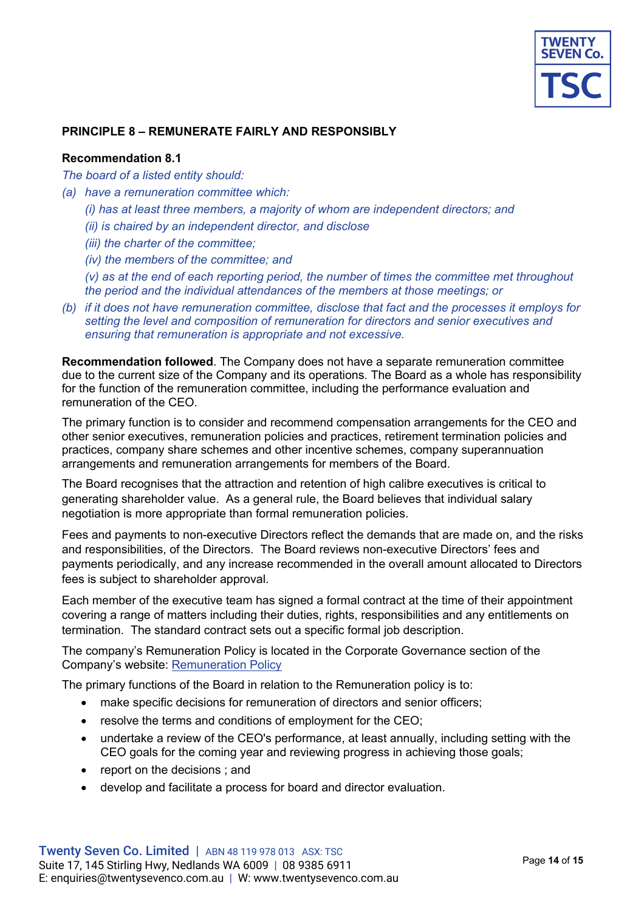

## **PRINCIPLE 8 – REMUNERATE FAIRLY AND RESPONSIBLY**

## **Recommendation 8.1**

*The board of a listed entity should:* 

- *(a) have a remuneration committee which:* 
	- *(i) has at least three members, a majority of whom are independent directors; and*
	- *(ii) is chaired by an independent director, and disclose*
	- *(iii) the charter of the committee;*
	- *(iv) the members of the committee; and*
	- *(v) as at the end of each reporting period, the number of times the committee met throughout the period and the individual attendances of the members at those meetings; or*
- *(b) if it does not have remuneration committee, disclose that fact and the processes it employs for setting the level and composition of remuneration for directors and senior executives and ensuring that remuneration is appropriate and not excessive.*

**Recommendation followed**. The Company does not have a separate remuneration committee due to the current size of the Company and its operations. The Board as a whole has responsibility for the function of the remuneration committee, including the performance evaluation and remuneration of the CEO.

The primary function is to consider and recommend compensation arrangements for the CEO and other senior executives, remuneration policies and practices, retirement termination policies and practices, company share schemes and other incentive schemes, company superannuation arrangements and remuneration arrangements for members of the Board.

The Board recognises that the attraction and retention of high calibre executives is critical to generating shareholder value. As a general rule, the Board believes that individual salary negotiation is more appropriate than formal remuneration policies.

Fees and payments to non-executive Directors reflect the demands that are made on, and the risks and responsibilities, of the Directors. The Board reviews non-executive Directors' fees and payments periodically, and any increase recommended in the overall amount allocated to Directors fees is subject to shareholder approval.

Each member of the executive team has signed a formal contract at the time of their appointment covering a range of matters including their duties, rights, responsibilities and any entitlements on termination. The standard contract sets out a specific formal job description.

The company's Remuneration Policy is located in the Corporate Governance section of the Company's website: Remuneration Policy

The primary functions of the Board in relation to the Remuneration policy is to:

- make specific decisions for remuneration of directors and senior officers;
- resolve the terms and conditions of employment for the CEO;
- undertake a review of the CEO's performance, at least annually, including setting with the CEO goals for the coming year and reviewing progress in achieving those goals;
- report on the decisions ; and
- develop and facilitate a process for board and director evaluation.